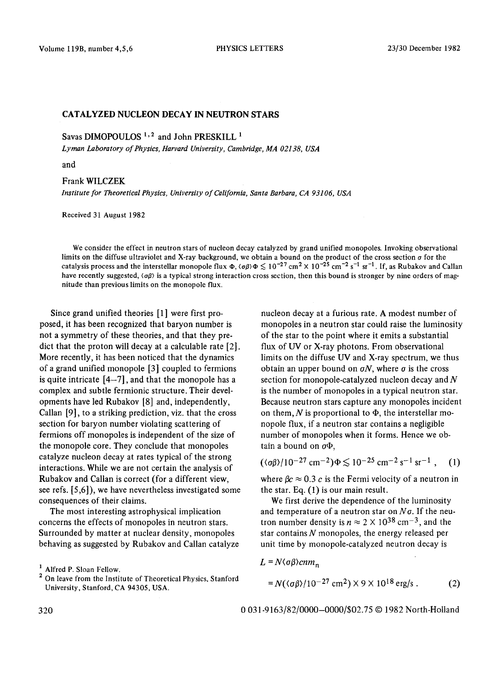## CATALYZED NUCLEON DECAY IN NEUTRON STARS

Savas DIMOPOULOS<sup>1,2</sup> and John PRESKILL<sup>1</sup>

*Lyman Laboratory of Physics, Harvard University, Cambridge, MA 02138, USA* 

and

## Frank WlLCZEK

*Institute for Theoretical Physics, University of California, Santa Barbara, CA 93106, USA* 

Received 31 August 1982

We consider the effect in neutron stars of nucleon decay catalyzed by grand unified monopoles. Invoking observational limits on the diffuse ultraviolet and X-ray background, we obtain a bound on the product of the cross section a for the catalysis process and the interstellar monopole flux  $\Phi$ ,  $\langle \sigma \beta \rangle \Phi \lesssim 10^{-27}$  cm<sup>2</sup>  $\times$  10<sup>-25</sup> cm<sup>-2</sup> s<sup>-1</sup> sr<sup>-1</sup>. If, as Rubakov and Callan have recently suggested,  $\langle \sigma \beta \rangle$  is a typical strong interaction cross section, then this bound is stronger by nine orders of magnitude than previous limits on the monopole flux.

Since grand unified theories [1] were first proposed, it has been recognized that baryon number is not a symmetry of these theories, and that they predict that the proton will decay at a calculable rate [2]. More recently, it has been noticed that the dynamics of a grand unified monopole [3] coupled to fermions is quite intricate  $[4-7]$ , and that the monopole has a complex and subtle fermionic structure. Their developments have led Rubakov [8] and, independently, Callan [9], to a striking prediction, viz. that the cross section for baryon number violating scattering of fermions off monopoles is independent of the size of the monopole core. They conclude that monopoles catalyze nucleon decay at rates typical of the strong interactions. While we are not certain the analysis of Rubakov and Callan is correct (for a different view, see refs. [5,6]), we have nevertheless investigated some consequences of their claims.

The most interesting astrophysical implication concerns the effects of monopoles in neutron stars. Surrounded by matter at nuclear density, monopoles behaving as suggested by Rubakov and Callan catalyze nucleon decay at a furious rate. A modest number of monopoles in a neutron star could raise the luminosity of the star to the point where it emits a substantial flux of UV or X-ray photons. From observational limits on the diffuse UV and X-ray spectrum, we thus obtain an upper bound on  $\sigma N$ , where  $\sigma$  is the cross section for monopole-catalyzed nucleon decay and  $N$ is the number of monopoles in a typical neutron star. Because neutron stars capture any monopoles incident on them, N is proportional to  $\Phi$ , the interstellar monopole flux, if a neutron star contains a negligible number of monopoles when it forms. Hence we obtain a bound on  $\sigma\Phi$ .

$$
(\langle \sigma \beta \rangle / 10^{-27} \,\mathrm{cm}^{-2}) \Phi \lesssim 10^{-25} \,\mathrm{cm}^{-2} \,\mathrm{s}^{-1} \,\mathrm{sr}^{-1} \;, \quad (1)
$$

where  $\beta c \approx 0.3$  c is the Fermi velocity of a neutron in the star. Eq. (1) is our main result.

We first derive the dependence of the luminosity and temperature of a neutron star on *No.* If the neutron number density is  $n \approx 2 \times 10^{38}$  cm<sup>-3</sup>, and the star contains  $N$  monopoles, the energy released per unit time by monopole-catalyzed neutron decay is

$$
L = N \langle \sigma \beta \rangle cnm_n
$$

$$
= N(\langle \sigma \beta \rangle / 10^{-27} \text{ cm}^2) \times 9 \times 10^{18} \text{ erg/s} . \tag{2}
$$

320 0 031-9163/82/0000-0000/\$02.75 © 1982 North-Holland

<sup>1</sup> Alfred P. Sloan Fellow.

<sup>&</sup>lt;sup>2</sup> On leave from the Institute of Theoretical Physics, Stanford University, Stanford, CA 94305, USA.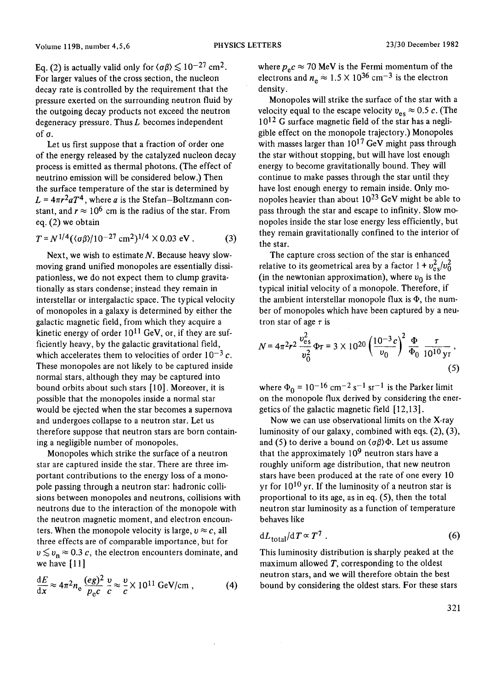Eq. (2) is actually valid only for  $\langle \sigma \beta \rangle \lesssim 10^{-27}$  cm<sup>2</sup>. For larger values of the cross section, the nucleon decay rate is controlled by the requirement that the pressure exerted on the surrounding neutron fluid by the outgoing decay products not exceed the neutron degeneracy pressure. Thus  $L$  becomes independent of o.

Let us first suppose that a fraction of order one of the energy released by the catalyzed nucleon decay process is emitted as thermal photons. (The effect of neutrino emission will be considered below.) Then the surface temperature of the star is determined by  $L = 4\pi r^2 a T^4$ , where *a* is the Stefan-Boltzmann constant, and  $r \approx 10^6$  cm is the radius of the star. From eq. (2) we obtain

$$
T = N^{1/4} (\langle \sigma \beta \rangle / 10^{-27} \text{ cm}^2)^{1/4} \times 0.03 \text{ eV}.
$$
 (3)

Next, we wish to estimate  $N$ . Because heavy slowmoving grand unified monopoles are essentially dissipationless, we do not expect them to clump gravitationally as stars condense; instead they remain in interstellar or intergalactic space. The typical velocity of monopoles in a galaxy is determined by either the galactic magnetic field, from which they acquire a kinetic energy of order  $10^{11}$  GeV, or, if they are sufficiently heavy, by the galactic gravitational field, which accelerates them to velocities of order  $10^{-3}c$ . These monopoles are not likely to be captured inside normal stars, although they may be captured into bound orbits about such stars [10]. Moreover, it is possible that the monopoles inside a normal star would be ejected when the star becomes a supernova and undergoes collapse to a neutron star. Let us therefore suppose that neutron stars are born containing a negligible number of monopoles.

Monopoles which strike the surface of a neutron star are captured inside the star. There are three important contributions to the energy loss of a monopole passing through a neutron star: hadronic collisions between monopoles and neutrons, collisions with neutrons due to the interaction of the monopole with the neutron magnetic moment, and electron encounters. When the monopole velocity is large,  $v \approx c$ , all three effects are of comparable importance, but for  $v \lesssim v_n \approx 0.3$  c, the electron encounters dominate, and we have  $[11]$ 

$$
\frac{dE}{dx} \approx 4\pi^2 n_e \frac{(eg)^2}{p_e c} \frac{v}{c} \approx \frac{v}{c} \times 10^{11} \text{ GeV/cm} , \qquad (4)
$$

where  $p_e c \approx 70$  MeV is the Fermi momentum of the electrons and  $n_e \approx 1.5 \times 10^{36}$  cm<sup>-3</sup> is the electron density.

Monopoles will strike the surface of the star with a velocity equal to the escape velocity  $v_{\text{es}} \approx 0.5 \, c$ . (The 10<sup>12</sup> G surface magnetic field of the star has a negligible effect on the monopole trajectory.) Monopoles with masses larger than  $10^{17}$  GeV might pass through the star without stopping, but will have lost enough energy to become gravitationally bound. They will continue to make passes through the star until they have lost enough energy to remain inside. Only monopoles heavier than about 1023 GeV might be able to pass through the star and escape to infinity. Slow monopoles inside the star lose energy less efficiently, but they remain gravitationally confined to the interior of the star.

The capture cross section of the star is enhanced relative to its geometrical area by a factor  $1 + v_{es}^2/v_0^2$ (in the newtonian approximation), where  $v_0$  is the typical initial velocity of a monopole. Therefore, if the ambient interstellar monopole flux is  $\Phi$ , the number of monopoles which have been captured by a neutron star of age  $\tau$  is

$$
N = 4\pi^2 r^2 \frac{v_{\rm es}^2}{v_0^2} \Phi \tau = 3 \times 10^{20} \left(\frac{10^{-3} c}{v_0}\right)^2 \frac{\Phi}{\Phi_0} \frac{\tau}{10^{10} \text{ yr}},\tag{5}
$$

where  $\Phi_0 = 10^{-16}$  cm<sup>-2</sup> s<sup>-1</sup> sr<sup>-1</sup> is the Parker limit on the monopole flux derived by considering the energetics of the galactic magnetic field [ 12,13].

Now we can use observational limits on the X-ray luminosity of our galaxy, combined with eqs. (2), (3), and (5) to derive a bound on  $\langle \sigma \beta \rangle \Phi$ . Let us assume that the approximately  $10<sup>9</sup>$  neutron stars have a roughly uniform age distribution, that new neutron stars have been produced at the rate of one every 10 yr for  $10^{10}$  yr. If the luminosity of a neutron star is proportional to its age, as in eq. (5), then the total neutron star luminosity as a function of temperature behaves like

$$
dL_{\text{total}}/dT \propto T^7 \tag{6}
$$

This luminosity distribution is sharply peaked at the maximum allowed  $T$ , corresponding to the oldest neutron stars, and we will therefore obtain the best bound by considering the oldest stars. For these stars